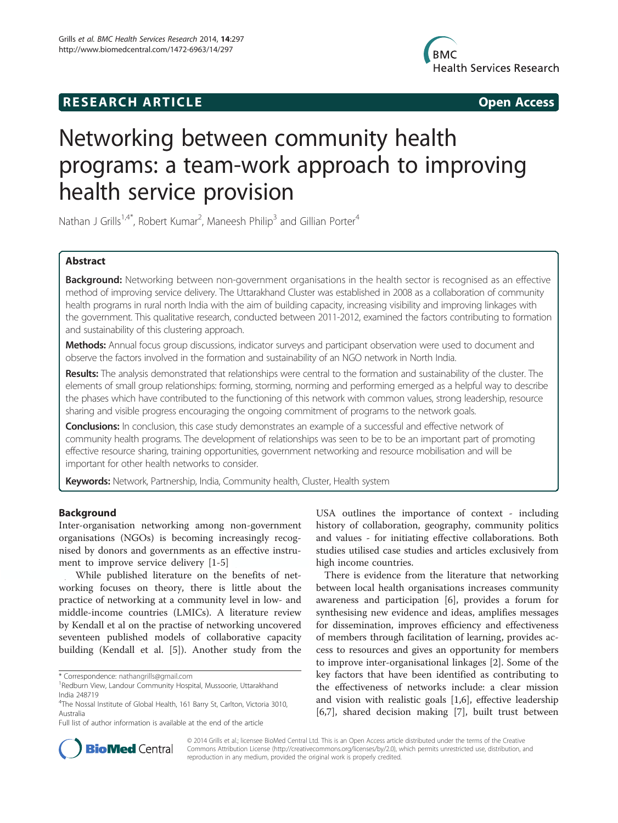## **RESEARCH ARTICLE Example 2014 CONSIDERING CONSIDERING CONSIDERING CONSIDERING CONSIDERING CONSIDERING CONSIDERING CONSIDERING CONSIDERING CONSIDERING CONSIDERING CONSIDERING CONSIDERING CONSIDERING CONSIDERING CONSIDE**



# Networking between community health programs: a team-work approach to improving health service provision

Nathan J Grills<sup>1,4\*</sup>, Robert Kumar<sup>2</sup>, Maneesh Philip<sup>3</sup> and Gillian Porter<sup>4</sup>

## Abstract

Background: Networking between non-government organisations in the health sector is recognised as an effective method of improving service delivery. The Uttarakhand Cluster was established in 2008 as a collaboration of community health programs in rural north India with the aim of building capacity, increasing visibility and improving linkages with the government. This qualitative research, conducted between 2011-2012, examined the factors contributing to formation and sustainability of this clustering approach.

Methods: Annual focus group discussions, indicator surveys and participant observation were used to document and observe the factors involved in the formation and sustainability of an NGO network in North India.

Results: The analysis demonstrated that relationships were central to the formation and sustainability of the cluster. The elements of small group relationships: forming, storming, norming and performing emerged as a helpful way to describe the phases which have contributed to the functioning of this network with common values, strong leadership, resource sharing and visible progress encouraging the ongoing commitment of programs to the network goals.

Conclusions: In conclusion, this case study demonstrates an example of a successful and effective network of community health programs. The development of relationships was seen to be to be an important part of promoting effective resource sharing, training opportunities, government networking and resource mobilisation and will be important for other health networks to consider.

Keywords: Network, Partnership, India, Community health, Cluster, Health system

## Background

Inter-organisation networking among non-government organisations (NGOs) is becoming increasingly recognised by donors and governments as an effective instrument to improve service delivery  $[1-5]$  $[1-5]$ 

While published literature on the benefits of networking focuses on theory, there is little about the practice of networking at a community level in low- and middle-income countries (LMICs). A literature review by Kendall et al on the practise of networking uncovered seventeen published models of collaborative capacity building (Kendall et al. [\[5](#page-6-0)]). Another study from the

Full list of author information is available at the end of the article

USA outlines the importance of context - including history of collaboration, geography, community politics and values - for initiating effective collaborations. Both studies utilised case studies and articles exclusively from high income countries.

There is evidence from the literature that networking between local health organisations increases community awareness and participation [[6\]](#page-6-0), provides a forum for synthesising new evidence and ideas, amplifies messages for dissemination, improves efficiency and effectiveness of members through facilitation of learning, provides access to resources and gives an opportunity for members to improve inter-organisational linkages [\[2](#page-6-0)]. Some of the key factors that have been identified as contributing to the effectiveness of networks include: a clear mission and vision with realistic goals [[1,6\]](#page-6-0), effective leadership [[6,7\]](#page-6-0), shared decision making [[7](#page-6-0)], built trust between



© 2014 Grills et al.; licensee BioMed Central Ltd. This is an Open Access article distributed under the terms of the Creative Commons Attribution License [\(http://creativecommons.org/licenses/by/2.0\)](http://creativecommons.org/licenses/by/2.0), which permits unrestricted use, distribution, and reproduction in any medium, provided the original work is properly credited.

<sup>\*</sup> Correspondence: [nathangrills@gmail.com](mailto:nathangrills@gmail.com) <sup>1</sup>

<sup>&</sup>lt;sup>1</sup> Redburn View, Landour Community Hospital, Mussoorie, Uttarakhand India 248719

<sup>4</sup> The Nossal Institute of Global Health, 161 Barry St, Carlton, Victoria 3010, Australia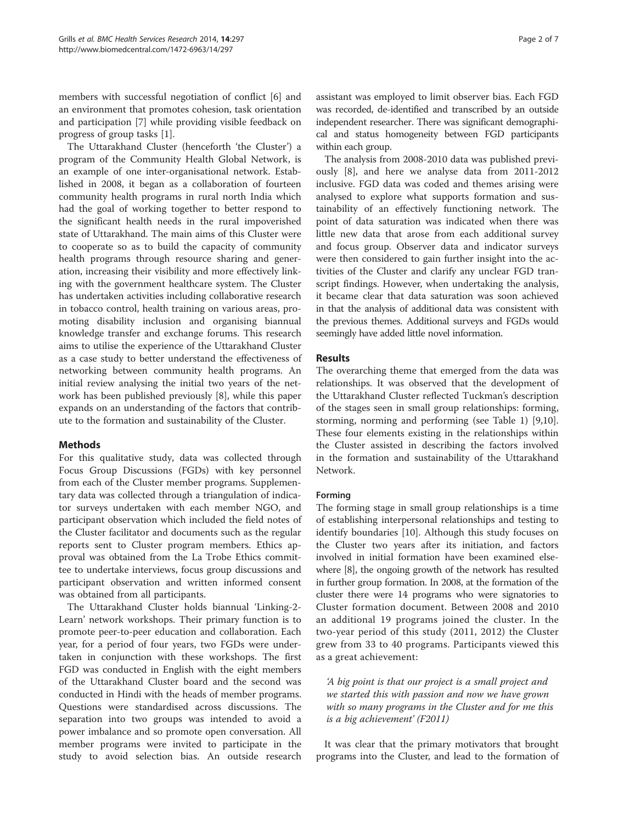members with successful negotiation of conflict [[6](#page-6-0)] and an environment that promotes cohesion, task orientation and participation [\[7](#page-6-0)] while providing visible feedback on progress of group tasks [\[1](#page-6-0)].

The Uttarakhand Cluster (henceforth 'the Cluster') a program of the Community Health Global Network, is an example of one inter-organisational network. Established in 2008, it began as a collaboration of fourteen community health programs in rural north India which had the goal of working together to better respond to the significant health needs in the rural impoverished state of Uttarakhand. The main aims of this Cluster were to cooperate so as to build the capacity of community health programs through resource sharing and generation, increasing their visibility and more effectively linking with the government healthcare system. The Cluster has undertaken activities including collaborative research in tobacco control, health training on various areas, promoting disability inclusion and organising biannual knowledge transfer and exchange forums. This research aims to utilise the experience of the Uttarakhand Cluster as a case study to better understand the effectiveness of networking between community health programs. An initial review analysing the initial two years of the network has been published previously [[8\]](#page-6-0), while this paper expands on an understanding of the factors that contribute to the formation and sustainability of the Cluster.

## Methods

For this qualitative study, data was collected through Focus Group Discussions (FGDs) with key personnel from each of the Cluster member programs. Supplementary data was collected through a triangulation of indicator surveys undertaken with each member NGO, and participant observation which included the field notes of the Cluster facilitator and documents such as the regular reports sent to Cluster program members. Ethics approval was obtained from the La Trobe Ethics committee to undertake interviews, focus group discussions and participant observation and written informed consent was obtained from all participants.

The Uttarakhand Cluster holds biannual 'Linking-2- Learn' network workshops. Their primary function is to promote peer-to-peer education and collaboration. Each year, for a period of four years, two FGDs were undertaken in conjunction with these workshops. The first FGD was conducted in English with the eight members of the Uttarakhand Cluster board and the second was conducted in Hindi with the heads of member programs. Questions were standardised across discussions. The separation into two groups was intended to avoid a power imbalance and so promote open conversation. All member programs were invited to participate in the study to avoid selection bias. An outside research

assistant was employed to limit observer bias. Each FGD was recorded, de-identified and transcribed by an outside independent researcher. There was significant demographical and status homogeneity between FGD participants within each group.

The analysis from 2008-2010 data was published previously [[8\]](#page-6-0), and here we analyse data from 2011-2012 inclusive. FGD data was coded and themes arising were analysed to explore what supports formation and sustainability of an effectively functioning network. The point of data saturation was indicated when there was little new data that arose from each additional survey and focus group. Observer data and indicator surveys were then considered to gain further insight into the activities of the Cluster and clarify any unclear FGD transcript findings. However, when undertaking the analysis, it became clear that data saturation was soon achieved in that the analysis of additional data was consistent with the previous themes. Additional surveys and FGDs would seemingly have added little novel information.

## Results

The overarching theme that emerged from the data was relationships. It was observed that the development of the Uttarakhand Cluster reflected Tuckman's description of the stages seen in small group relationships: forming, storming, norming and performing (see Table [1](#page-2-0)) [\[9,10](#page-6-0)]. These four elements existing in the relationships within the Cluster assisted in describing the factors involved in the formation and sustainability of the Uttarakhand Network.

## Forming

The forming stage in small group relationships is a time of establishing interpersonal relationships and testing to identify boundaries [[10](#page-6-0)]. Although this study focuses on the Cluster two years after its initiation, and factors involved in initial formation have been examined elsewhere [[8](#page-6-0)], the ongoing growth of the network has resulted in further group formation. In 2008, at the formation of the cluster there were 14 programs who were signatories to Cluster formation document. Between 2008 and 2010 an additional 19 programs joined the cluster. In the two-year period of this study (2011, 2012) the Cluster grew from 33 to 40 programs. Participants viewed this as a great achievement:

'A big point is that our project is a small project and we started this with passion and now we have grown with so many programs in the Cluster and for me this is a big achievement' (F2011)

It was clear that the primary motivators that brought programs into the Cluster, and lead to the formation of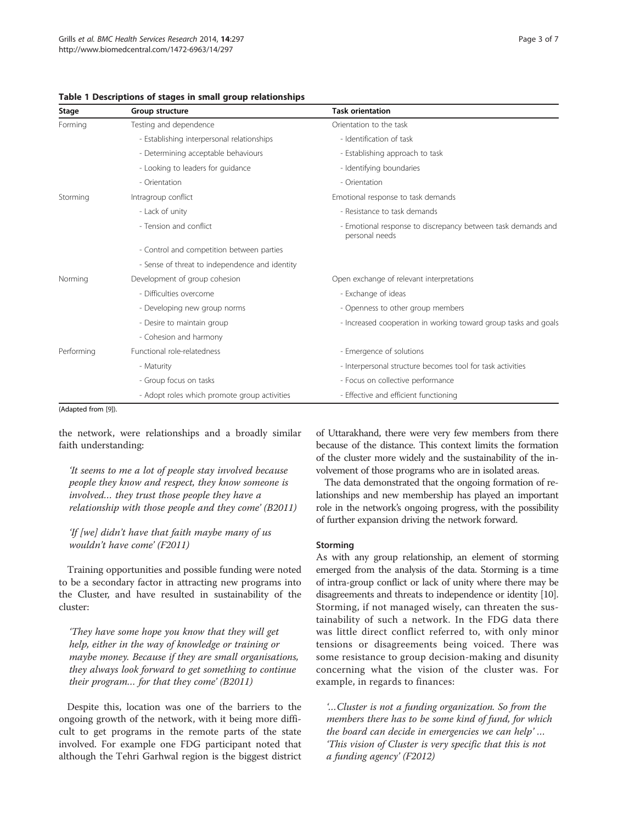| Stage      | Group structure                                | <b>Task orientation</b>                                                        |
|------------|------------------------------------------------|--------------------------------------------------------------------------------|
| Forming    | Testing and dependence                         | Orientation to the task                                                        |
|            | - Establishing interpersonal relationships     | - Identification of task                                                       |
|            | - Determining acceptable behaviours            | - Establishing approach to task                                                |
|            | - Looking to leaders for guidance              | - Identifying boundaries                                                       |
|            | - Orientation                                  | - Orientation                                                                  |
| Storming   | Intragroup conflict                            | Emotional response to task demands                                             |
|            | - Lack of unity                                | - Resistance to task demands                                                   |
|            | - Tension and conflict                         | - Emotional response to discrepancy between task demands and<br>personal needs |
|            | - Control and competition between parties      |                                                                                |
|            | - Sense of threat to independence and identity |                                                                                |
| Norming    | Development of group cohesion                  | Open exchange of relevant interpretations                                      |
|            | - Difficulties overcome                        | - Exchange of ideas                                                            |
|            | - Developing new group norms                   | - Openness to other group members                                              |
|            | - Desire to maintain group                     | - Increased cooperation in working toward group tasks and goals                |
|            | - Cohesion and harmony                         |                                                                                |
| Performing | Functional role-relatedness                    | - Emergence of solutions                                                       |
|            | - Maturity                                     | - Interpersonal structure becomes tool for task activities                     |
|            | - Group focus on tasks                         | - Focus on collective performance                                              |
|            | - Adopt roles which promote group activities   | - Effective and efficient functioning                                          |

### <span id="page-2-0"></span>Table 1 Descriptions of stages in small group relationships

(Adapted from [[9\]](#page-6-0)).

the network, were relationships and a broadly similar faith understanding:

'It seems to me a lot of people stay involved because people they know and respect, they know someone is involved… they trust those people they have a relationship with those people and they come' (B2011)

'If [we] didn't have that faith maybe many of us wouldn't have come' (F2011)

Training opportunities and possible funding were noted to be a secondary factor in attracting new programs into the Cluster, and have resulted in sustainability of the cluster:

'They have some hope you know that they will get help, either in the way of knowledge or training or maybe money. Because if they are small organisations, they always look forward to get something to continue their program… for that they come' (B2011)

Despite this, location was one of the barriers to the ongoing growth of the network, with it being more difficult to get programs in the remote parts of the state involved. For example one FDG participant noted that although the Tehri Garhwal region is the biggest district of Uttarakhand, there were very few members from there because of the distance. This context limits the formation of the cluster more widely and the sustainability of the involvement of those programs who are in isolated areas.

The data demonstrated that the ongoing formation of relationships and new membership has played an important role in the network's ongoing progress, with the possibility of further expansion driving the network forward.

## Storming

As with any group relationship, an element of storming emerged from the analysis of the data. Storming is a time of intra-group conflict or lack of unity where there may be disagreements and threats to independence or identity [\[10](#page-6-0)]. Storming, if not managed wisely, can threaten the sustainability of such a network. In the FDG data there was little direct conflict referred to, with only minor tensions or disagreements being voiced. There was some resistance to group decision-making and disunity concerning what the vision of the cluster was. For example, in regards to finances:

'…Cluster is not a funding organization. So from the members there has to be some kind of fund, for which the board can decide in emergencies we can help' … 'This vision of Cluster is very specific that this is not a funding agency' (F2012)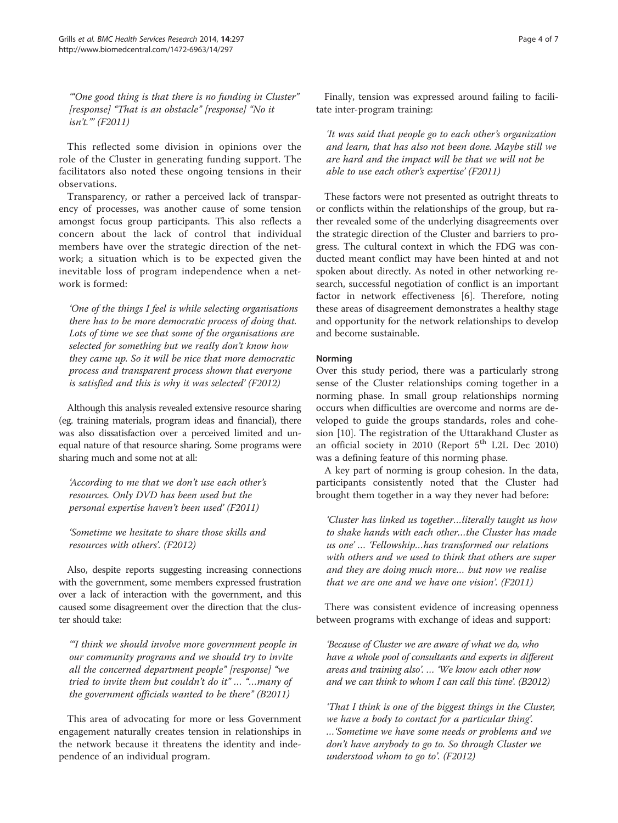'"One good thing is that there is no funding in Cluster" [response] "That is an obstacle" [response] "No it isn't."' (F2011)

This reflected some division in opinions over the role of the Cluster in generating funding support. The facilitators also noted these ongoing tensions in their observations.

Transparency, or rather a perceived lack of transparency of processes, was another cause of some tension amongst focus group participants. This also reflects a concern about the lack of control that individual members have over the strategic direction of the network; a situation which is to be expected given the inevitable loss of program independence when a network is formed:

'One of the things I feel is while selecting organisations there has to be more democratic process of doing that. Lots of time we see that some of the organisations are selected for something but we really don't know how they came up. So it will be nice that more democratic process and transparent process shown that everyone is satisfied and this is why it was selected' (F2012)

Although this analysis revealed extensive resource sharing (eg. training materials, program ideas and financial), there was also dissatisfaction over a perceived limited and unequal nature of that resource sharing. Some programs were sharing much and some not at all:

'According to me that we don't use each other's resources. Only DVD has been used but the personal expertise haven't been used' (F2011)

'Sometime we hesitate to share those skills and resources with others'. (F2012)

Also, despite reports suggesting increasing connections with the government, some members expressed frustration over a lack of interaction with the government, and this caused some disagreement over the direction that the cluster should take:

'"I think we should involve more government people in our community programs and we should try to invite all the concerned department people" [response] "we tried to invite them but couldn't do it" … "…many of the government officials wanted to be there" (B2011)

This area of advocating for more or less Government engagement naturally creates tension in relationships in the network because it threatens the identity and independence of an individual program.

Finally, tension was expressed around failing to facilitate inter-program training:

'It was said that people go to each other's organization and learn, that has also not been done. Maybe still we are hard and the impact will be that we will not be able to use each other's expertise' (F2011)

These factors were not presented as outright threats to or conflicts within the relationships of the group, but rather revealed some of the underlying disagreements over the strategic direction of the Cluster and barriers to progress. The cultural context in which the FDG was conducted meant conflict may have been hinted at and not spoken about directly. As noted in other networking research, successful negotiation of conflict is an important factor in network effectiveness [[6\]](#page-6-0). Therefore, noting these areas of disagreement demonstrates a healthy stage and opportunity for the network relationships to develop and become sustainable.

## Norming

Over this study period, there was a particularly strong sense of the Cluster relationships coming together in a norming phase. In small group relationships norming occurs when difficulties are overcome and norms are developed to guide the groups standards, roles and cohesion [\[10\]](#page-6-0). The registration of the Uttarakhand Cluster as an official society in 2010 (Report 5<sup>th</sup> L2L Dec 2010) was a defining feature of this norming phase.

A key part of norming is group cohesion. In the data, participants consistently noted that the Cluster had brought them together in a way they never had before:

'Cluster has linked us together…literally taught us how to shake hands with each other…the Cluster has made us one'…'Fellowship…has transformed our relations with others and we used to think that others are super and they are doing much more… but now we realise that we are one and we have one vision'. (F2011)

There was consistent evidence of increasing openness between programs with exchange of ideas and support:

'Because of Cluster we are aware of what we do, who have a whole pool of consultants and experts in different areas and training also'. … 'We know each other now and we can think to whom I can call this time'. (B2012)

'That I think is one of the biggest things in the Cluster, we have a body to contact for a particular thing'. …'Sometime we have some needs or problems and we don't have anybody to go to. So through Cluster we understood whom to go to'. (F2012)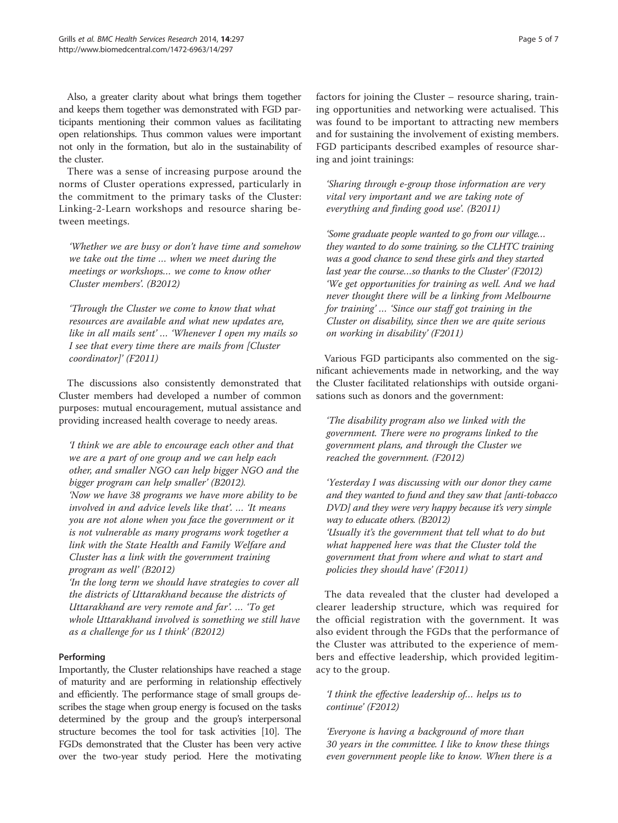Also, a greater clarity about what brings them together and keeps them together was demonstrated with FGD participants mentioning their common values as facilitating open relationships. Thus common values were important not only in the formation, but alo in the sustainability of the cluster.

There was a sense of increasing purpose around the norms of Cluster operations expressed, particularly in the commitment to the primary tasks of the Cluster: Linking-2-Learn workshops and resource sharing between meetings.

'Whether we are busy or don't have time and somehow we take out the time … when we meet during the meetings or workshops… we come to know other Cluster members'. (B2012)

'Through the Cluster we come to know that what resources are available and what new updates are, like in all mails sent'…'Whenever I open my mails so I see that every time there are mails from [Cluster coordinator]' (F2011)

The discussions also consistently demonstrated that Cluster members had developed a number of common purposes: mutual encouragement, mutual assistance and providing increased health coverage to needy areas.

'I think we are able to encourage each other and that we are a part of one group and we can help each other, and smaller NGO can help bigger NGO and the bigger program can help smaller' (B2012). 'Now we have 38 programs we have more ability to be involved in and advice levels like that'. … 'It means you are not alone when you face the government or it is not vulnerable as many programs work together a link with the State Health and Family Welfare and Cluster has a link with the government training program as well' (B2012)

'In the long term we should have strategies to cover all the districts of Uttarakhand because the districts of Uttarakhand are very remote and far'. … 'To get whole Uttarakhand involved is something we still have as a challenge for us I think' (B2012)

## Performing

Importantly, the Cluster relationships have reached a stage of maturity and are performing in relationship effectively and efficiently. The performance stage of small groups describes the stage when group energy is focused on the tasks determined by the group and the group's interpersonal structure becomes the tool for task activities [\[10](#page-6-0)]. The FGDs demonstrated that the Cluster has been very active over the two-year study period. Here the motivating

factors for joining the Cluster – resource sharing, training opportunities and networking were actualised. This was found to be important to attracting new members and for sustaining the involvement of existing members. FGD participants described examples of resource sharing and joint trainings:

'Sharing through e-group those information are very vital very important and we are taking note of everything and finding good use'. (B2011)

'Some graduate people wanted to go from our village… they wanted to do some training, so the CLHTC training was a good chance to send these girls and they started last year the course…so thanks to the Cluster' (F2012) 'We get opportunities for training as well. And we had never thought there will be a linking from Melbourne for training'…'Since our staff got training in the Cluster on disability, since then we are quite serious on working in disability' (F2011)

Various FGD participants also commented on the significant achievements made in networking, and the way the Cluster facilitated relationships with outside organisations such as donors and the government:

'The disability program also we linked with the government. There were no programs linked to the government plans, and through the Cluster we reached the government. (F2012)

'Yesterday I was discussing with our donor they came and they wanted to fund and they saw that [anti-tobacco DVD] and they were very happy because it's very simple way to educate others. (B2012) 'Usually it's the government that tell what to do but what happened here was that the Cluster told the government that from where and what to start and policies they should have' (F2011)

The data revealed that the cluster had developed a clearer leadership structure, which was required for the official registration with the government. It was also evident through the FGDs that the performance of the Cluster was attributed to the experience of members and effective leadership, which provided legitimacy to the group.

'I think the effective leadership of… helps us to continue' (F2012)

'Everyone is having a background of more than 30 years in the committee. I like to know these things even government people like to know. When there is a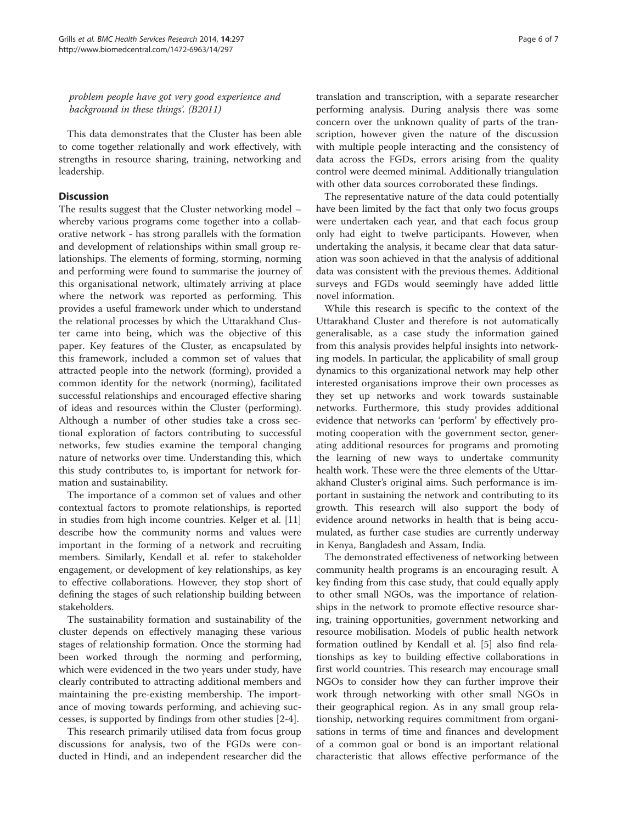problem people have got very good experience and background in these things'. (B2011)

This data demonstrates that the Cluster has been able to come together relationally and work effectively, with strengths in resource sharing, training, networking and leadership.

## **Discussion**

The results suggest that the Cluster networking model – whereby various programs come together into a collaborative network - has strong parallels with the formation and development of relationships within small group relationships. The elements of forming, storming, norming and performing were found to summarise the journey of this organisational network, ultimately arriving at place where the network was reported as performing. This provides a useful framework under which to understand the relational processes by which the Uttarakhand Cluster came into being, which was the objective of this paper. Key features of the Cluster, as encapsulated by this framework, included a common set of values that attracted people into the network (forming), provided a common identity for the network (norming), facilitated successful relationships and encouraged effective sharing of ideas and resources within the Cluster (performing). Although a number of other studies take a cross sectional exploration of factors contributing to successful networks, few studies examine the temporal changing nature of networks over time. Understanding this, which this study contributes to, is important for network formation and sustainability.

The importance of a common set of values and other contextual factors to promote relationships, is reported in studies from high income countries. Kelger et al. [[11](#page-6-0)] describe how the community norms and values were important in the forming of a network and recruiting members. Similarly, Kendall et al. refer to stakeholder engagement, or development of key relationships, as key to effective collaborations. However, they stop short of defining the stages of such relationship building between stakeholders.

The sustainability formation and sustainability of the cluster depends on effectively managing these various stages of relationship formation. Once the storming had been worked through the norming and performing, which were evidenced in the two years under study, have clearly contributed to attracting additional members and maintaining the pre-existing membership. The importance of moving towards performing, and achieving successes, is supported by findings from other studies [[2](#page-6-0)-[4\]](#page-6-0).

This research primarily utilised data from focus group discussions for analysis, two of the FGDs were conducted in Hindi, and an independent researcher did the

translation and transcription, with a separate researcher performing analysis. During analysis there was some concern over the unknown quality of parts of the transcription, however given the nature of the discussion with multiple people interacting and the consistency of data across the FGDs, errors arising from the quality control were deemed minimal. Additionally triangulation with other data sources corroborated these findings.

The representative nature of the data could potentially have been limited by the fact that only two focus groups were undertaken each year, and that each focus group only had eight to twelve participants. However, when undertaking the analysis, it became clear that data saturation was soon achieved in that the analysis of additional data was consistent with the previous themes. Additional surveys and FGDs would seemingly have added little novel information.

While this research is specific to the context of the Uttarakhand Cluster and therefore is not automatically generalisable, as a case study the information gained from this analysis provides helpful insights into networking models. In particular, the applicability of small group dynamics to this organizational network may help other interested organisations improve their own processes as they set up networks and work towards sustainable networks. Furthermore, this study provides additional evidence that networks can 'perform' by effectively promoting cooperation with the government sector, generating additional resources for programs and promoting the learning of new ways to undertake community health work. These were the three elements of the Uttarakhand Cluster's original aims. Such performance is important in sustaining the network and contributing to its growth. This research will also support the body of evidence around networks in health that is being accumulated, as further case studies are currently underway in Kenya, Bangladesh and Assam, India.

The demonstrated effectiveness of networking between community health programs is an encouraging result. A key finding from this case study, that could equally apply to other small NGOs, was the importance of relationships in the network to promote effective resource sharing, training opportunities, government networking and resource mobilisation. Models of public health network formation outlined by Kendall et al. [\[5](#page-6-0)] also find relationships as key to building effective collaborations in first world countries. This research may encourage small NGOs to consider how they can further improve their work through networking with other small NGOs in their geographical region. As in any small group relationship, networking requires commitment from organisations in terms of time and finances and development of a common goal or bond is an important relational characteristic that allows effective performance of the